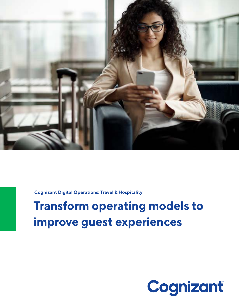

**Cognizant Digital Operations: Travel & Hospitality**

# **Transform operating models to improve guest experiences**

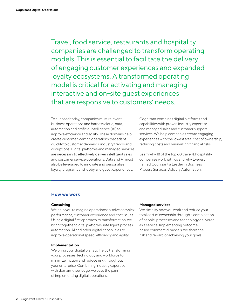Travel, food service, restaurants and hospitality companies are challenged to transform operating models. This is essential to facilitate the delivery of engaging customer experiences and expanded loyalty ecosystems. A transformed operating model is critical for activating and managing interactive and on-site guest experiences that are responsive to customers' needs.

To succeed today, companies must reinvent business operations and harness cloud, data, automation and artificial intelligence (AI) to improve efficiency and agility. These domains help create customer-centric operations that adapt quickly to customer demands, industry trends and disruptions. Digital platforms and managed services are necessary to effectively deliver intelligent sales and customer service operations. Data and AI must also be leveraged to innovate and personalize loyalty programs and lobby and guest experiences.

Cognizant combines digital platforms and capabilities with proven industry expertise and managed sales and customer support services. We help companies create engaging experiences with the lowest total cost of ownership, reducing costs and minimizing financial risks.

Learn why 18 of the top 60 travel & hospitality companies work with us and why Everest named Cognizant a Leader in Business Process Services Delivery Automation.

# **How we work**

### **Consulting**

We help you reimagine operations to solve complex performance, customer experience and cost issues. Using a digital first approach to transformation, we bring together digital platforms, intelligent process automation, AI and other digital capabilities to improve operational speed, efficiency and agility.

### **Implementation**

We bring your digital plans to life by transforming your processes, technology and workforce to minimize friction and reduce risk throughout your enterprise. Combining industry expertise with domain knowledge, we ease the pain of implementing digital operations.

### **Managed services**

We simplify how you work and reduce your total cost of ownership through a combination of people, processes and technology delivered as a service. Implementing outcomebased commercial models, we share the risk and reward of achieving your goals.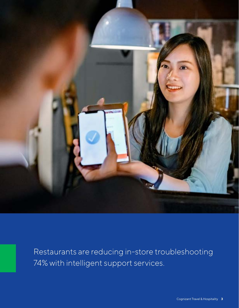

Restaurants are reducing in-store troubleshooting 74% with intelligent support services.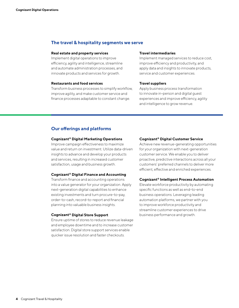# **The travel & hospitality segments we serve**

#### **Real estate and property services**

Implement digital operations to improve efficiency, agility and intelligence, streamline and automate administration processes, and innovate products and services for growth.

### **Restaurants and food services**

Transform business processes to simplify workflow, improve agility, and make customer service and finance processes adaptable to constant change.

### **Travel intermediaries**

Implement managed services to reduce cost, improve efficiency and productivity, and apply data and insights to innovate products, service and customer experiences.

### **Travel suppliers**

Apply business process transformation to innovate in-person and digital guest experiences and improve efficiency, agility and intelligence to grow revenue.

# **Our offerings and platforms**

# **Cognizant® Digital Marketing Operations**

Improve campaign effectiveness to maximize value and return on investment. Utilize data-driven insights to advance and develop your products and services, resulting in increased customer satisfaction, usage and business growth.

#### **Cognizant® Digital Finance and Accounting**

Transform finance and accounting operations into a value generator for your organization. Apply next-generation digital capabilities to enhance existing investments and turn procure-to-pay, order-to-cash, record-to-report and financial planning into valuable business insights.

### **Cognizant® Digital Store Support**

Ensure uptime of stores to reduce revenue leakage and employee downtime and to increase customer satisfaction. Digital store support services enable quicker issue resolution and faster checkouts.

### **Cognizant® Digital Customer Service**

Achieve new revenue-generating opportunities for your organization with next-generation customer service. We enable you to deliver proactive, predictive interactions across all your customers' preferred channels to deliver more efficient, effective and enriched experiences.

### **Cognizant® Intelligent Process Automation**

Elevate workforce productivity by automating specific functions as well as end-to-end business operations. Leveraging leading automation platforms, we partner with you to improve workforce productivity and streamline customer experiences to drive business performance and growth.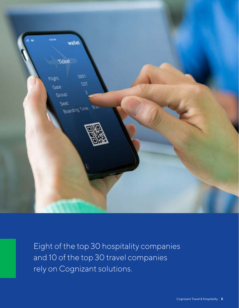

Eight of the top 30 hospitality companies and 10 of the top 30 travel companies rely on Cognizant solutions.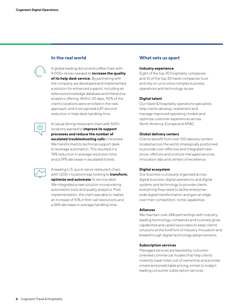# **In the real world**

A global leading donut and coffee chain with 9,000+ stores needed to **increase the quality of its help desk service.** By partnering with the company, we developed and implemented a solution for enhanced support, including an extensive knowledge database and interactive analytics offering. Within 30 days, 90% of the client's locations were enrolled in the new approach, and it recognized a 47-second reduction in help desk handling time.



A casual dining restaurant chain with 500+ locations wanted to **improve its support processes and reduce the number of escalated troubleshooting calls** it received. We transformed its technical support desk to leverage automation. This resulted in a 74% reduction in average resolution time and a 39% decrease in escalated tickets.

A leading U.S. quick-serve restaurant chain with 1,200 + locations was looking to **transform, optimize and automate** its service desk. We integrated a new solution incorporating automation tools and quality analytics. Post implementation, the client was able to realize an increase of 10% in first-call resolutions and a 26% decrease in average handling time.

# **What sets us apart**

## **Industry experience**

Eight of the top 30 hospitality companies and 10 of the top 30 travel companies trust and rely on us to solve complex business, operations and technology issues.

# **Digital talent**

Our travel & hospitality operations specialists help clients develop, implement and manage improved operating models and optimize customer experiences across North America, Europe and APAC.

# **Global delivery centers**

Clients benefit from over 100 delivery centers located across the world, strategically positioned to provide cost-effective and integrated nearshore, offshore and onshore managed services, innovation labs and centers of excellence.

# **Digital ecosystem**

Our business is uniquely organized across digital business, digital operations, and digital systems and technology to provide clients everything they need to tackle enterprisewide digital transformation and gain an edge over their competitors' niche capabilities.

### **Alliances**

We maintain over 248 partnerships with industryleading technology companies and routinely grow capabilities and upskill associates to keep clients' solutions at the forefront of industry innovation and breakthrough digital technology advancements.

### **Subscription services**

Managed services are backed by outcomeoriented commercial models that help clients instantly lower total cost of ownership and provide simple and predictable pricing, similar to today's leading consumer subscription services.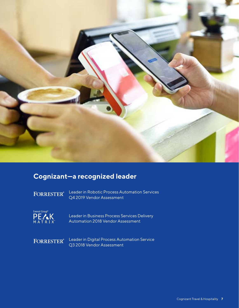

# **Cognizant—a recognized leader**

**FORRESTER®** 

Leader in Robotic Process Automation Services Q4 2019 Vendor Assessment



Leader in Business Process Services Delivery Automation 2018 Vendor Assessment

**FORRESTER®** 

Leader in Digital Process Automation Service Q3 2018 Vendor Assessment